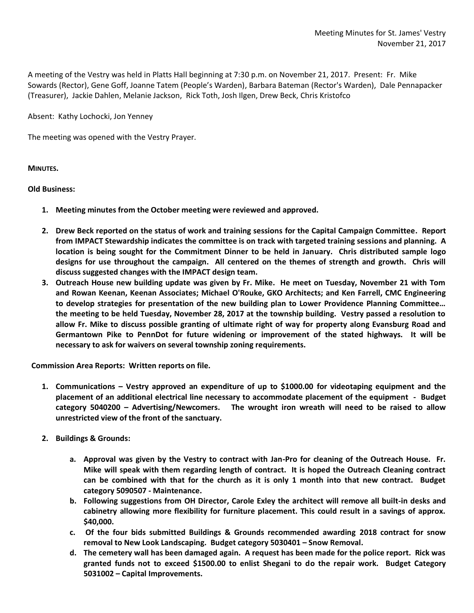A meeting of the Vestry was held in Platts Hall beginning at 7:30 p.m. on November 21, 2017. Present: Fr. Mike Sowards (Rector), Gene Goff, Joanne Tatem (People's Warden), Barbara Bateman (Rector's Warden), Dale Pennapacker (Treasurer), Jackie Dahlen, Melanie Jackson, Rick Toth, Josh Ilgen, Drew Beck, Chris Kristofco

Absent: Kathy Lochocki, Jon Yenney

The meeting was opened with the Vestry Prayer.

**MINUTES.**

## **Old Business:**

- **1. Meeting minutes from the October meeting were reviewed and approved.**
- **2. Drew Beck reported on the status of work and training sessions for the Capital Campaign Committee. Report from IMPACT Stewardship indicates the committee is on track with targeted training sessions and planning. A location is being sought for the Commitment Dinner to be held in January. Chris distributed sample logo designs for use throughout the campaign. All centered on the themes of strength and growth. Chris will discuss suggested changes with the IMPACT design team.**
- **3. Outreach House new building update was given by Fr. Mike. He meet on Tuesday, November 21 with Tom and Rowan Keenan, Keenan Associates; Michael O'Rouke, GKO Architects; and Ken Farrell, CMC Engineering to develop strategies for presentation of the new building plan to Lower Providence Planning Committee… the meeting to be held Tuesday, November 28, 2017 at the township building. Vestry passed a resolution to allow Fr. Mike to discuss possible granting of ultimate right of way for property along Evansburg Road and Germantown Pike to PennDot for future widening or improvement of the stated highways. It will be necessary to ask for waivers on several township zoning requirements.**

**Commission Area Reports: Written reports on file.**

- **1. Communications – Vestry approved an expenditure of up to \$1000.00 for videotaping equipment and the placement of an additional electrical line necessary to accommodate placement of the equipment - Budget category 5040200 – Advertising/Newcomers. The wrought iron wreath will need to be raised to allow unrestricted view of the front of the sanctuary.**
- **2. Buildings & Grounds:**
	- **a. Approval was given by the Vestry to contract with Jan-Pro for cleaning of the Outreach House. Fr. Mike will speak with them regarding length of contract. It is hoped the Outreach Cleaning contract can be combined with that for the church as it is only 1 month into that new contract. Budget category 5090507 - Maintenance.**
	- **b. Following suggestions from OH Director, Carole Exley the architect will remove all built-in desks and cabinetry allowing more flexibility for furniture placement. This could result in a savings of approx. \$40,000.**
	- **c. Of the four bids submitted Buildings & Grounds recommended awarding 2018 contract for snow removal to New Look Landscaping. Budget category 5030401 – Snow Removal.**
	- **d. The cemetery wall has been damaged again. A request has been made for the police report. Rick was granted funds not to exceed \$1500.00 to enlist Shegani to do the repair work. Budget Category 5031002 – Capital Improvements.**